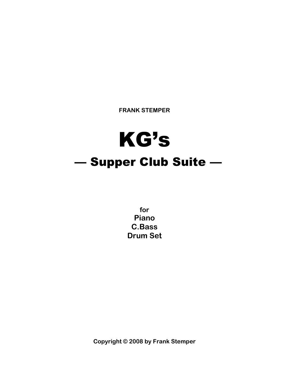**FRANK STEMPER**

## KG's — Supper Club Suite —

**for Piano C.Bass Drum Set**

**Copyright © 2008 by Frank Stemper**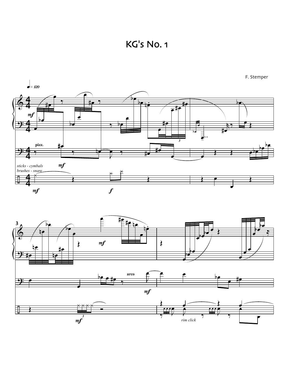





F. Stemper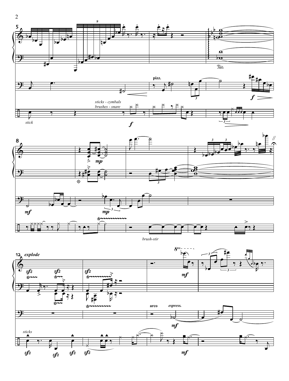





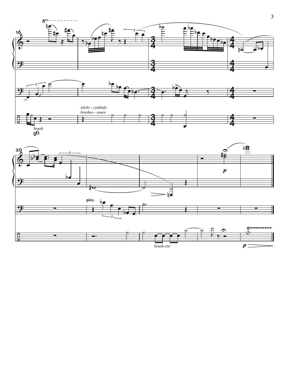

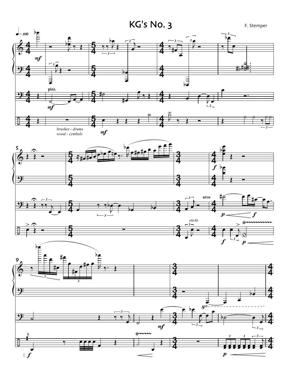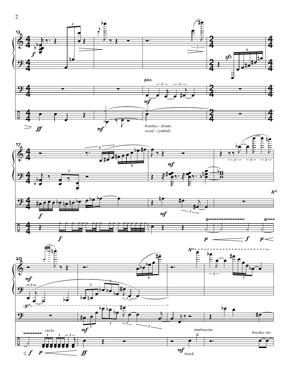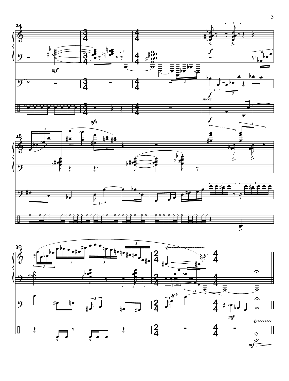







 $m f$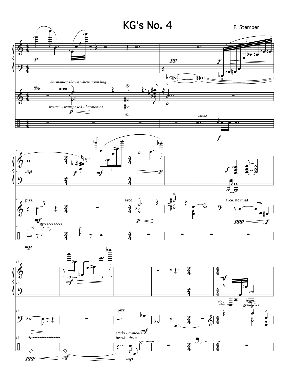